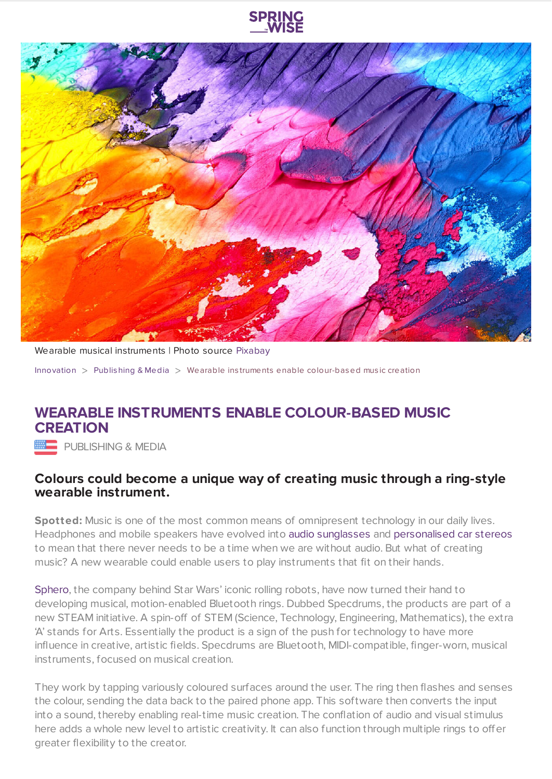



Wearable musical instruments | Photo source [Pixabay](https://pixabay.com/en/abstract-art-background-paint-2468874/)

[Innovation](https://www.springwise.com/search?type=innovation)  $>$  [Publishing](https://www.springwise.com/search?type=innovation§or=publishing-media) & Media  $>$  Wearable instruments enable colour-based music creation

## **WEARABLE INSTRUMENTS ENABLE COLOUR-BASED MUSIC CREATION**

**EEE** PUBLISHING & MEDIA

## **Colours could become a unique way of creating music through a ring-style wearable instrument.**

**Spotted:** Music is one of the most common means of omnipresent technology in our daily lives. Headphones and mobile speakers have evolved into audio [sunglasses](https://www.springwise.com/audio-sunglasses-immersive-sound-experience/) and [personalised](https://www.springwise.com/new-technology-delivers-personalised-in-car-speaker/) car stereos to mean that there never needs to be a time when we are without audio. But what of creating music? A new wearable could enable users to play instruments that fit on their hands.

[Sphero](https://www.sphero.com/en_gb/?___store=en_gb), the company behind Star Wars' iconic rolling robots, have now turned their hand to developing musical, motion-enabled Bluetooth rings. Dubbed Specdrums, the products are part of a new STEAM initiative. A spin-off of STEM (Science, Technology, Engineering, Mathematics), the extra 'A' stands for Arts. Essentially the product is a sign of the push for technology to have more influence in creative, artistic fields. Specdrums are Bluetooth, MIDI-compatible, finger-worn, musical instruments, focused on musical creation.

They work by tapping variously coloured surfaces around the user. The ring then flashes and senses the colour, sending the data back to the paired phone app. This software then converts the input into a sound, thereby enabling real-time music creation. The conflation of audio and visual stimulus here adds a whole new level to artistic creativity. It can also function through multiple rings to offer greater flexibility to the creator.